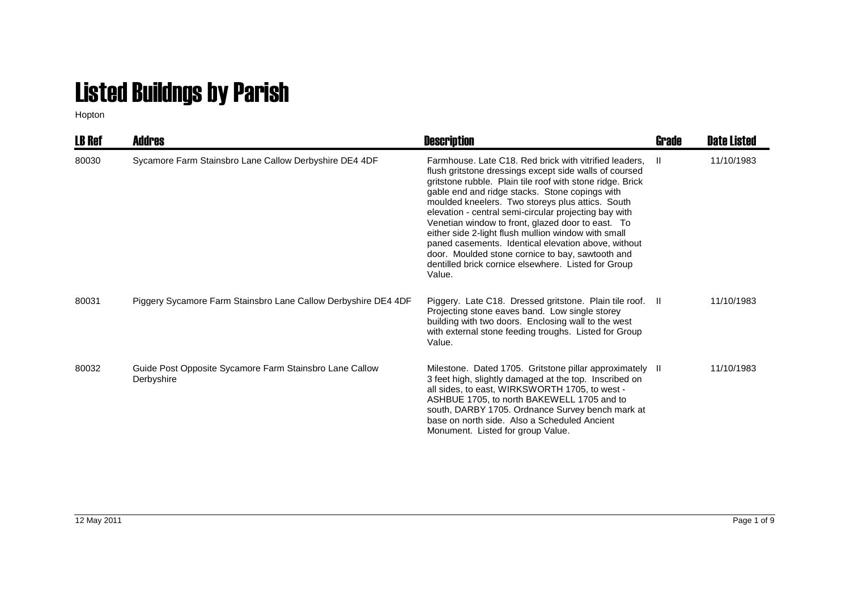## Listed Buildngs by Parish

Hopton

| <b>LB Ref</b> | <b>Addres</b>                                                         | <b>Description</b>                                                                                                                                                                                                                                                                                                                                                                                                                                                                                                                                                                                                                   | Grade | <b>Date Listed</b> |
|---------------|-----------------------------------------------------------------------|--------------------------------------------------------------------------------------------------------------------------------------------------------------------------------------------------------------------------------------------------------------------------------------------------------------------------------------------------------------------------------------------------------------------------------------------------------------------------------------------------------------------------------------------------------------------------------------------------------------------------------------|-------|--------------------|
| 80030         | Sycamore Farm Stainsbro Lane Callow Derbyshire DE4 4DF                | Farmhouse, Late C18, Red brick with vitrified leaders.<br>flush gritstone dressings except side walls of coursed<br>gritstone rubble. Plain tile roof with stone ridge. Brick<br>gable end and ridge stacks. Stone copings with<br>moulded kneelers. Two storeys plus attics. South<br>elevation - central semi-circular projecting bay with<br>Venetian window to front, glazed door to east. To<br>either side 2-light flush mullion window with small<br>paned casements. Identical elevation above, without<br>door. Moulded stone cornice to bay, sawtooth and<br>dentilled brick cornice elsewhere. Listed for Group<br>Value. | H.    | 11/10/1983         |
| 80031         | Piggery Sycamore Farm Stainsbro Lane Callow Derbyshire DE4 4DF        | Piggery. Late C18. Dressed gritstone. Plain tile roof. Il<br>Projecting stone eaves band. Low single storey<br>building with two doors. Enclosing wall to the west<br>with external stone feeding troughs. Listed for Group<br>Value.                                                                                                                                                                                                                                                                                                                                                                                                |       | 11/10/1983         |
| 80032         | Guide Post Opposite Sycamore Farm Stainsbro Lane Callow<br>Derbyshire | Milestone. Dated 1705. Gritstone pillar approximately II<br>3 feet high, slightly damaged at the top. Inscribed on<br>all sides, to east, WIRKSWORTH 1705, to west -<br>ASHBUE 1705, to north BAKEWELL 1705 and to<br>south, DARBY 1705. Ordnance Survey bench mark at<br>base on north side. Also a Scheduled Ancient<br>Monument. Listed for group Value.                                                                                                                                                                                                                                                                          |       | 11/10/1983         |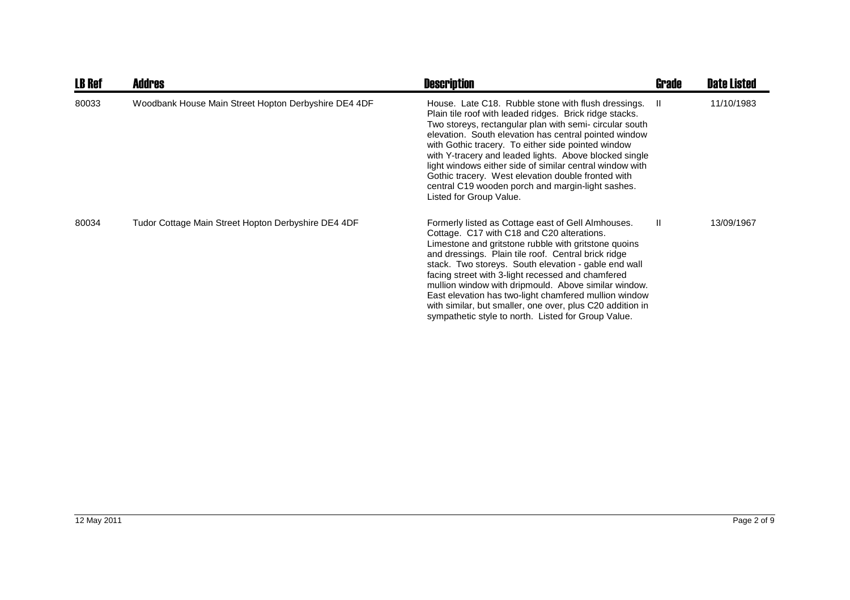| <b>LB Ref</b> | <b>Addres</b>                                        | <b>Description</b>                                                                                                                                                                                                                                                                                                                                                                                                                                                                                                                                                | Grade | <b>Date Listed</b> |
|---------------|------------------------------------------------------|-------------------------------------------------------------------------------------------------------------------------------------------------------------------------------------------------------------------------------------------------------------------------------------------------------------------------------------------------------------------------------------------------------------------------------------------------------------------------------------------------------------------------------------------------------------------|-------|--------------------|
| 80033         | Woodbank House Main Street Hopton Derbyshire DE4 4DF | House. Late C18. Rubble stone with flush dressings.<br>Plain tile roof with leaded ridges. Brick ridge stacks.<br>Two storeys, rectangular plan with semi- circular south<br>elevation. South elevation has central pointed window<br>with Gothic tracery. To either side pointed window<br>with Y-tracery and leaded lights. Above blocked single<br>light windows either side of similar central window with<br>Gothic tracery. West elevation double fronted with<br>central C19 wooden porch and margin-light sashes.<br>Listed for Group Value.              | -H    | 11/10/1983         |
| 80034         | Tudor Cottage Main Street Hopton Derbyshire DE4 4DF  | Formerly listed as Cottage east of Gell Almhouses.<br>Cottage. C17 with C18 and C20 alterations.<br>Limestone and gritstone rubble with gritstone quoins<br>and dressings. Plain tile roof. Central brick ridge<br>stack. Two storeys. South elevation - gable end wall<br>facing street with 3-light recessed and chamfered<br>mullion window with dripmould. Above similar window.<br>East elevation has two-light chamfered mullion window<br>with similar, but smaller, one over, plus C20 addition in<br>sympathetic style to north. Listed for Group Value. | H.    | 13/09/1967         |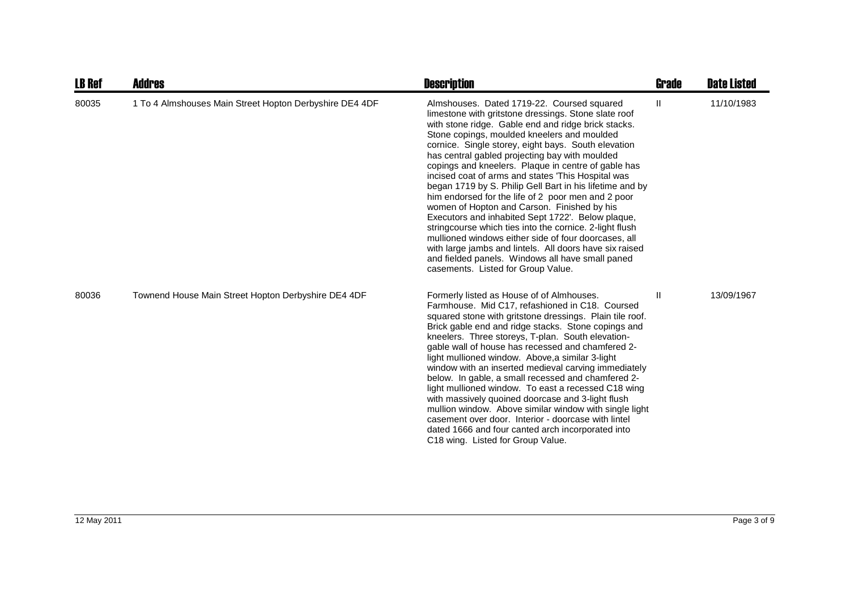| <b>LB Ref</b> | <b>Addres</b>                                           | <b>Description</b>                                                                                                                                                                                                                                                                                                                                                                                                                                                                                                                                                                                                                                                                                                                                                                                                                                                                                                           | Grade        | <b>Date Listed</b> |
|---------------|---------------------------------------------------------|------------------------------------------------------------------------------------------------------------------------------------------------------------------------------------------------------------------------------------------------------------------------------------------------------------------------------------------------------------------------------------------------------------------------------------------------------------------------------------------------------------------------------------------------------------------------------------------------------------------------------------------------------------------------------------------------------------------------------------------------------------------------------------------------------------------------------------------------------------------------------------------------------------------------------|--------------|--------------------|
| 80035         | 1 To 4 Almshouses Main Street Hopton Derbyshire DE4 4DF | Almshouses. Dated 1719-22. Coursed squared<br>limestone with gritstone dressings. Stone slate roof<br>with stone ridge. Gable end and ridge brick stacks.<br>Stone copings, moulded kneelers and moulded<br>cornice. Single storey, eight bays. South elevation<br>has central gabled projecting bay with moulded<br>copings and kneelers. Plaque in centre of gable has<br>incised coat of arms and states 'This Hospital was<br>began 1719 by S. Philip Gell Bart in his lifetime and by<br>him endorsed for the life of 2 poor men and 2 poor<br>women of Hopton and Carson. Finished by his<br>Executors and inhabited Sept 1722'. Below plaque,<br>stringcourse which ties into the cornice. 2-light flush<br>mullioned windows either side of four doorcases, all<br>with large jambs and lintels. All doors have six raised<br>and fielded panels. Windows all have small paned<br>casements. Listed for Group Value. | $\mathbf{H}$ | 11/10/1983         |
| 80036         | Townend House Main Street Hopton Derbyshire DE4 4DF     | Formerly listed as House of of Almhouses.<br>Farmhouse. Mid C17, refashioned in C18. Coursed<br>squared stone with gritstone dressings. Plain tile roof.<br>Brick gable end and ridge stacks. Stone copings and<br>kneelers. Three storeys, T-plan. South elevation-<br>gable wall of house has recessed and chamfered 2-<br>light mullioned window. Above, a similar 3-light<br>window with an inserted medieval carving immediately<br>below. In gable, a small recessed and chamfered 2-<br>light mullioned window. To east a recessed C18 wing<br>with massively quoined doorcase and 3-light flush<br>mullion window. Above similar window with single light<br>casement over door. Interior - doorcase with lintel<br>dated 1666 and four canted arch incorporated into<br>C18 wing. Listed for Group Value.                                                                                                           | Ш            | 13/09/1967         |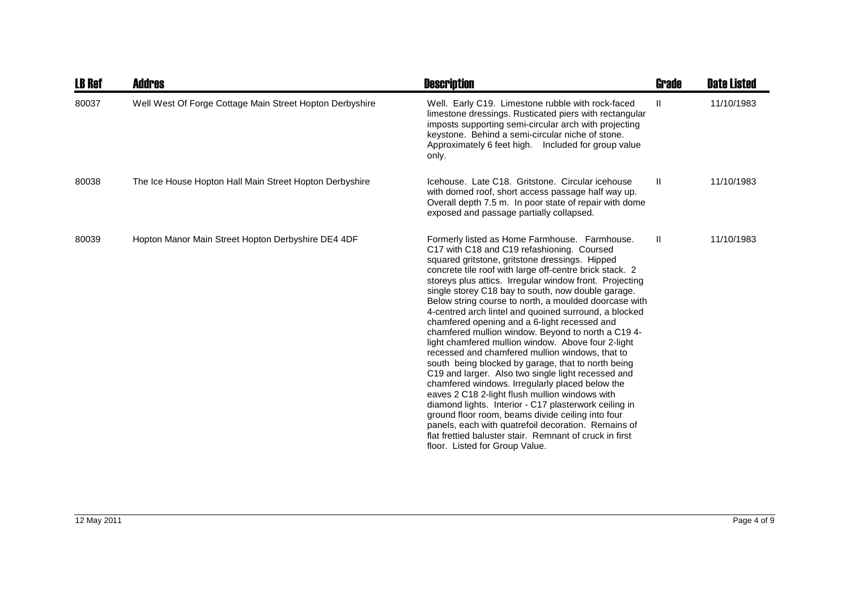| <b>LB Ref</b> | Addres                                                   | <b>Description</b>                                                                                                                                                                                                                                                                                                                                                                                                                                                                                                                                                                                                                                                                                                                                                                                                                                                                                                                                                                                                                                                                                                                            | <b>Grade</b> | <b>Date Listed</b> |
|---------------|----------------------------------------------------------|-----------------------------------------------------------------------------------------------------------------------------------------------------------------------------------------------------------------------------------------------------------------------------------------------------------------------------------------------------------------------------------------------------------------------------------------------------------------------------------------------------------------------------------------------------------------------------------------------------------------------------------------------------------------------------------------------------------------------------------------------------------------------------------------------------------------------------------------------------------------------------------------------------------------------------------------------------------------------------------------------------------------------------------------------------------------------------------------------------------------------------------------------|--------------|--------------------|
| 80037         | Well West Of Forge Cottage Main Street Hopton Derbyshire | Well. Early C19. Limestone rubble with rock-faced<br>limestone dressings. Rusticated piers with rectangular<br>imposts supporting semi-circular arch with projecting<br>keystone. Behind a semi-circular niche of stone.<br>Approximately 6 feet high. Included for group value<br>only.                                                                                                                                                                                                                                                                                                                                                                                                                                                                                                                                                                                                                                                                                                                                                                                                                                                      | $\mathbf{H}$ | 11/10/1983         |
| 80038         | The Ice House Hopton Hall Main Street Hopton Derbyshire  | Icehouse, Late C18. Gritstone, Circular icehouse<br>with domed roof, short access passage half way up.<br>Overall depth 7.5 m. In poor state of repair with dome<br>exposed and passage partially collapsed.                                                                                                                                                                                                                                                                                                                                                                                                                                                                                                                                                                                                                                                                                                                                                                                                                                                                                                                                  | $\mathbf{H}$ | 11/10/1983         |
| 80039         | Hopton Manor Main Street Hopton Derbyshire DE4 4DF       | Formerly listed as Home Farmhouse. Farmhouse.<br>C17 with C18 and C19 refashioning. Coursed<br>squared gritstone, gritstone dressings. Hipped<br>concrete tile roof with large off-centre brick stack. 2<br>storeys plus attics. Irregular window front. Projecting<br>single storey C18 bay to south, now double garage.<br>Below string course to north, a moulded doorcase with<br>4-centred arch lintel and quoined surround, a blocked<br>chamfered opening and a 6-light recessed and<br>chamfered mullion window. Beyond to north a C19 4-<br>light chamfered mullion window. Above four 2-light<br>recessed and chamfered mullion windows, that to<br>south being blocked by garage, that to north being<br>C19 and larger. Also two single light recessed and<br>chamfered windows. Irregularly placed below the<br>eaves 2 C18 2-light flush mullion windows with<br>diamond lights. Interior - C17 plasterwork ceiling in<br>ground floor room, beams divide ceiling into four<br>panels, each with quatrefoil decoration. Remains of<br>flat frettied baluster stair. Remnant of cruck in first<br>floor. Listed for Group Value. | $\mathbf{H}$ | 11/10/1983         |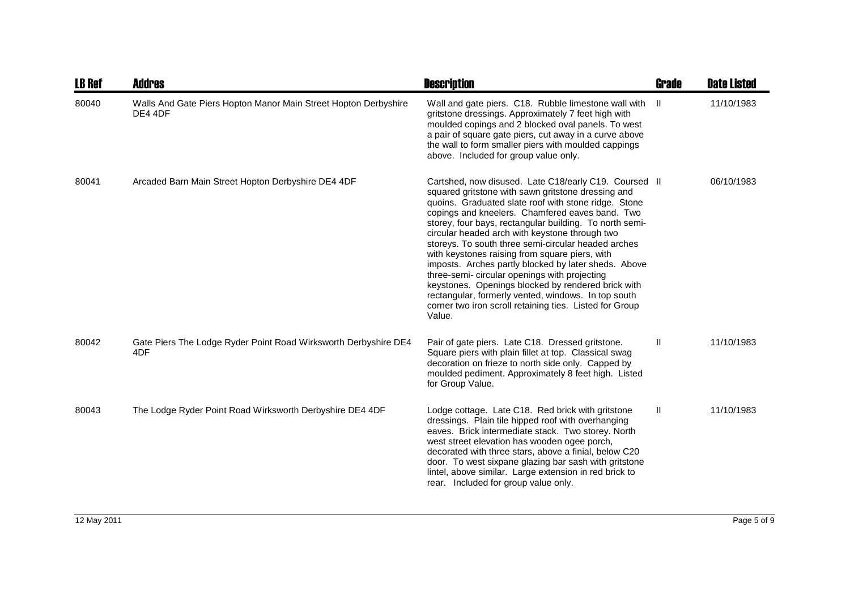| <b>LB Ref</b> | <b>Addres</b>                                                              | <b>Description</b>                                                                                                                                                                                                                                                                                                                                                                                                                                                                                                                                                                                                                                                                                                                      | <b>Grade</b> | <b>Date Listed</b> |
|---------------|----------------------------------------------------------------------------|-----------------------------------------------------------------------------------------------------------------------------------------------------------------------------------------------------------------------------------------------------------------------------------------------------------------------------------------------------------------------------------------------------------------------------------------------------------------------------------------------------------------------------------------------------------------------------------------------------------------------------------------------------------------------------------------------------------------------------------------|--------------|--------------------|
| 80040         | Walls And Gate Piers Hopton Manor Main Street Hopton Derbyshire<br>DE4 4DF | Wall and gate piers. C18. Rubble limestone wall with<br>gritstone dressings. Approximately 7 feet high with<br>moulded copings and 2 blocked oval panels. To west<br>a pair of square gate piers, cut away in a curve above<br>the wall to form smaller piers with moulded cappings<br>above. Included for group value only.                                                                                                                                                                                                                                                                                                                                                                                                            | -H           | 11/10/1983         |
| 80041         | Arcaded Barn Main Street Hopton Derbyshire DE4 4DF                         | Cartshed, now disused. Late C18/early C19. Coursed II<br>squared gritstone with sawn gritstone dressing and<br>quoins. Graduated slate roof with stone ridge. Stone<br>copings and kneelers. Chamfered eaves band. Two<br>storey, four bays, rectangular building. To north semi-<br>circular headed arch with keystone through two<br>storeys. To south three semi-circular headed arches<br>with keystones raising from square piers, with<br>imposts. Arches partly blocked by later sheds. Above<br>three-semi- circular openings with projecting<br>keystones. Openings blocked by rendered brick with<br>rectangular, formerly vented, windows. In top south<br>corner two iron scroll retaining ties. Listed for Group<br>Value. |              | 06/10/1983         |
| 80042         | Gate Piers The Lodge Ryder Point Road Wirksworth Derbyshire DE4<br>4DF     | Pair of gate piers. Late C18. Dressed gritstone.<br>Square piers with plain fillet at top. Classical swag<br>decoration on frieze to north side only. Capped by<br>moulded pediment. Approximately 8 feet high. Listed<br>for Group Value.                                                                                                                                                                                                                                                                                                                                                                                                                                                                                              | Ш            | 11/10/1983         |
| 80043         | The Lodge Ryder Point Road Wirksworth Derbyshire DE4 4DF                   | Lodge cottage. Late C18. Red brick with gritstone<br>dressings. Plain tile hipped roof with overhanging<br>eaves. Brick intermediate stack. Two storey. North<br>west street elevation has wooden ogee porch,<br>decorated with three stars, above a finial, below C20<br>door. To west sixpane glazing bar sash with gritstone<br>lintel, above similar. Large extension in red brick to<br>rear. Included for group value only.                                                                                                                                                                                                                                                                                                       | $\mathbf{H}$ | 11/10/1983         |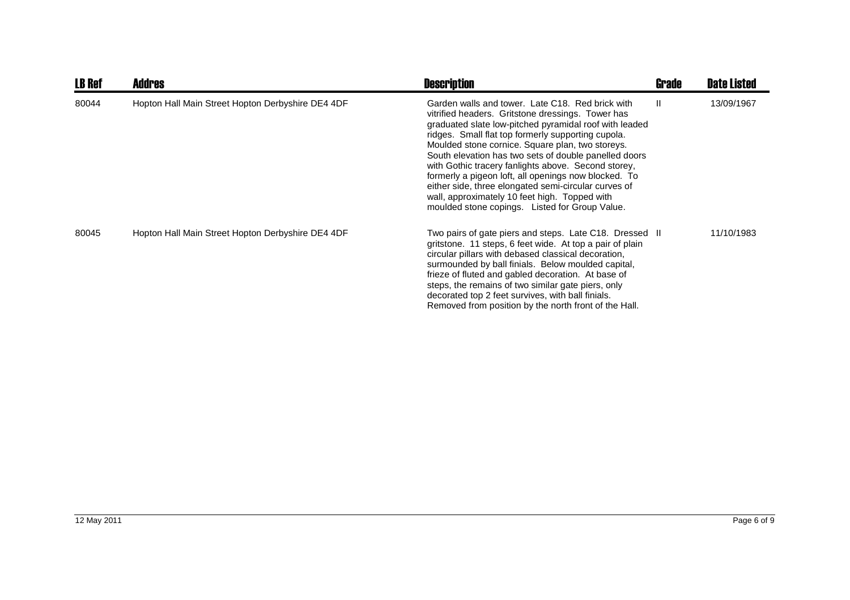| <b>LB Ref</b> | <b>Addres</b>                                     | <b>Description</b>                                                                                                                                                                                                                                                                                                                                                                                                                                                                                                                                                                                           | <b>Grade</b> | <b>Date Listed</b> |
|---------------|---------------------------------------------------|--------------------------------------------------------------------------------------------------------------------------------------------------------------------------------------------------------------------------------------------------------------------------------------------------------------------------------------------------------------------------------------------------------------------------------------------------------------------------------------------------------------------------------------------------------------------------------------------------------------|--------------|--------------------|
| 80044         | Hopton Hall Main Street Hopton Derbyshire DE4 4DF | Garden walls and tower. Late C18. Red brick with<br>vitrified headers. Gritstone dressings. Tower has<br>graduated slate low-pitched pyramidal roof with leaded<br>ridges. Small flat top formerly supporting cupola.<br>Moulded stone cornice. Square plan, two storeys.<br>South elevation has two sets of double panelled doors<br>with Gothic tracery fanlights above. Second storey,<br>formerly a pigeon loft, all openings now blocked. To<br>either side, three elongated semi-circular curves of<br>wall, approximately 10 feet high. Topped with<br>moulded stone copings. Listed for Group Value. | Ш            | 13/09/1967         |
| 80045         | Hopton Hall Main Street Hopton Derbyshire DE4 4DF | Two pairs of gate piers and steps. Late C18. Dressed II<br>gritstone. 11 steps, 6 feet wide. At top a pair of plain<br>circular pillars with debased classical decoration,<br>surmounded by ball finials. Below moulded capital,<br>frieze of fluted and gabled decoration. At base of<br>steps, the remains of two similar gate piers, only<br>decorated top 2 feet survives, with ball finials.<br>Removed from position by the north front of the Hall.                                                                                                                                                   |              | 11/10/1983         |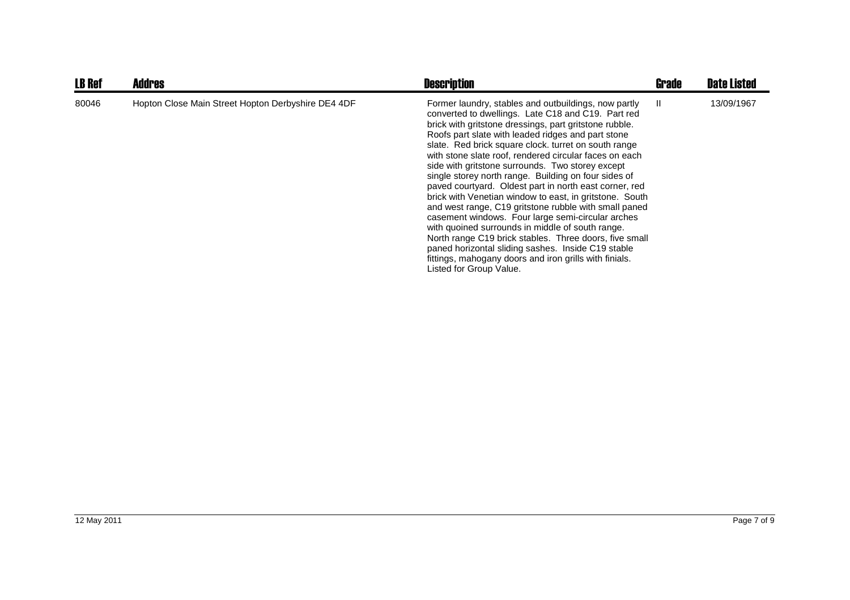| <b>LB Ref</b> | <b>Addres</b>                                      | <b>Description</b>                                                                                                                                                                                                                                                                                                                                                                                                                                                                                                                                                                                                                                                                                                                                                                                                                                                                                                                                   | Grade | <b>Date Listed</b> |
|---------------|----------------------------------------------------|------------------------------------------------------------------------------------------------------------------------------------------------------------------------------------------------------------------------------------------------------------------------------------------------------------------------------------------------------------------------------------------------------------------------------------------------------------------------------------------------------------------------------------------------------------------------------------------------------------------------------------------------------------------------------------------------------------------------------------------------------------------------------------------------------------------------------------------------------------------------------------------------------------------------------------------------------|-------|--------------------|
| 80046         | Hopton Close Main Street Hopton Derbyshire DE4 4DF | Former laundry, stables and outbuildings, now partly<br>converted to dwellings. Late C18 and C19. Part red<br>brick with gritstone dressings, part gritstone rubble.<br>Roofs part slate with leaded ridges and part stone<br>slate. Red brick square clock. turret on south range<br>with stone slate roof, rendered circular faces on each<br>side with gritstone surrounds. Two storey except<br>single storey north range. Building on four sides of<br>paved courtyard. Oldest part in north east corner, red<br>brick with Venetian window to east, in gritstone. South<br>and west range, C19 gritstone rubble with small paned<br>casement windows. Four large semi-circular arches<br>with quoined surrounds in middle of south range.<br>North range C19 brick stables. Three doors, five small<br>paned horizontal sliding sashes. Inside C19 stable<br>fittings, mahogany doors and iron grills with finials.<br>Listed for Group Value. | H.    | 13/09/1967         |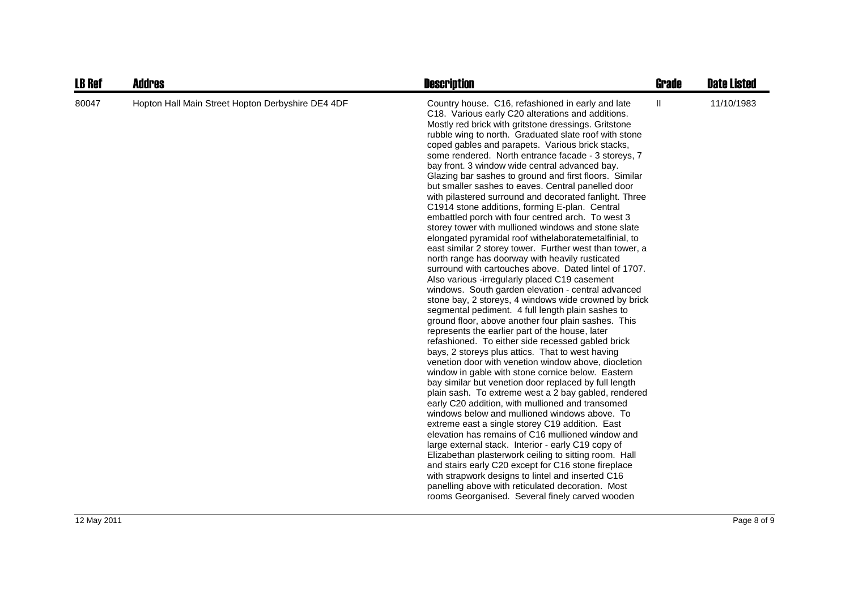| <b>LB Ref</b> | <b>Addres</b>                                     | <b>Description</b>                                                                                                                                                                                                                                                                                                                                                                                                                                                                                                                                                                                                                                                                                                                                                                                                                                                                                                                                                                                                                                                                                                                                                                                                                                                                                                                                                                                                                                                                                                                                                                                                                                                                                                                                                                                                                                                                                                                                                                                                                                                                                                                                                                 | Grade | <b>Date Listed</b> |
|---------------|---------------------------------------------------|------------------------------------------------------------------------------------------------------------------------------------------------------------------------------------------------------------------------------------------------------------------------------------------------------------------------------------------------------------------------------------------------------------------------------------------------------------------------------------------------------------------------------------------------------------------------------------------------------------------------------------------------------------------------------------------------------------------------------------------------------------------------------------------------------------------------------------------------------------------------------------------------------------------------------------------------------------------------------------------------------------------------------------------------------------------------------------------------------------------------------------------------------------------------------------------------------------------------------------------------------------------------------------------------------------------------------------------------------------------------------------------------------------------------------------------------------------------------------------------------------------------------------------------------------------------------------------------------------------------------------------------------------------------------------------------------------------------------------------------------------------------------------------------------------------------------------------------------------------------------------------------------------------------------------------------------------------------------------------------------------------------------------------------------------------------------------------------------------------------------------------------------------------------------------------|-------|--------------------|
| 80047         | Hopton Hall Main Street Hopton Derbyshire DE4 4DF | Country house. C16, refashioned in early and late<br>C18. Various early C20 alterations and additions.<br>Mostly red brick with gritstone dressings. Gritstone<br>rubble wing to north. Graduated slate roof with stone<br>coped gables and parapets. Various brick stacks,<br>some rendered. North entrance facade - 3 storeys, 7<br>bay front. 3 window wide central advanced bay.<br>Glazing bar sashes to ground and first floors. Similar<br>but smaller sashes to eaves. Central panelled door<br>with pilastered surround and decorated fanlight. Three<br>C1914 stone additions, forming E-plan. Central<br>embattled porch with four centred arch. To west 3<br>storey tower with mullioned windows and stone slate<br>elongated pyramidal roof withelaboratemetalfinial, to<br>east similar 2 storey tower. Further west than tower, a<br>north range has doorway with heavily rusticated<br>surround with cartouches above. Dated lintel of 1707.<br>Also various -irregularly placed C19 casement<br>windows. South garden elevation - central advanced<br>stone bay, 2 storeys, 4 windows wide crowned by brick<br>segmental pediment. 4 full length plain sashes to<br>ground floor, above another four plain sashes. This<br>represents the earlier part of the house, later<br>refashioned. To either side recessed gabled brick<br>bays, 2 storeys plus attics. That to west having<br>venetion door with venetion window above, diocletion<br>window in gable with stone cornice below. Eastern<br>bay similar but venetion door replaced by full length<br>plain sash. To extreme west a 2 bay gabled, rendered<br>early C20 addition, with mullioned and transomed<br>windows below and mullioned windows above. To<br>extreme east a single storey C19 addition. East<br>elevation has remains of C16 mullioned window and<br>large external stack. Interior - early C19 copy of<br>Elizabethan plasterwork ceiling to sitting room. Hall<br>and stairs early C20 except for C16 stone fireplace<br>with strapwork designs to lintel and inserted C16<br>panelling above with reticulated decoration. Most<br>rooms Georganised. Several finely carved wooden | Ш     | 11/10/1983         |